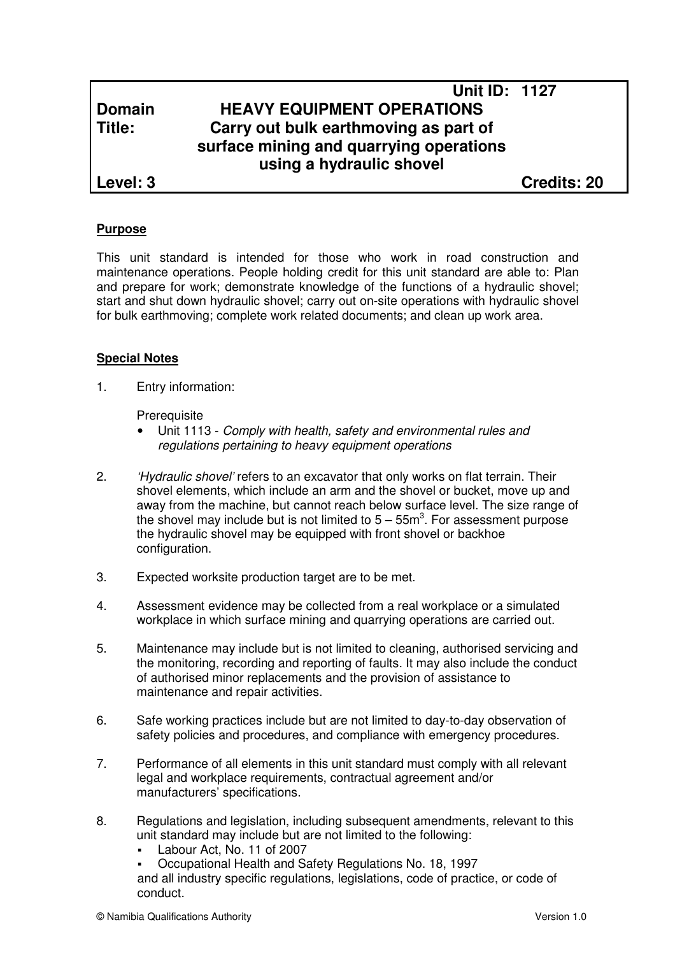# **Unit ID: 1127 Domain HEAVY EQUIPMENT OPERATIONS Title: Carry out bulk earthmoving as part of surface mining and quarrying operations using a hydraulic shovel**

**Level: 3 Credits: 20**

## **Purpose**

This unit standard is intended for those who work in road construction and maintenance operations. People holding credit for this unit standard are able to: Plan and prepare for work; demonstrate knowledge of the functions of a hydraulic shovel; start and shut down hydraulic shovel; carry out on-site operations with hydraulic shovel for bulk earthmoving; complete work related documents; and clean up work area.

## **Special Notes**

1. Entry information:

**Prerequisite** 

- Unit 1113 Comply with health, safety and environmental rules and regulations pertaining to heavy equipment operations
- 2. 'Hydraulic shovel' refers to an excavator that only works on flat terrain. Their shovel elements, which include an arm and the shovel or bucket, move up and away from the machine, but cannot reach below surface level. The size range of the shovel may include but is not limited to  $5-55m<sup>3</sup>$ . For assessment purpose the hydraulic shovel may be equipped with front shovel or backhoe configuration.
- 3. Expected worksite production target are to be met.
- 4. Assessment evidence may be collected from a real workplace or a simulated workplace in which surface mining and quarrying operations are carried out.
- 5. Maintenance may include but is not limited to cleaning, authorised servicing and the monitoring, recording and reporting of faults. It may also include the conduct of authorised minor replacements and the provision of assistance to maintenance and repair activities.
- 6. Safe working practices include but are not limited to day-to-day observation of safety policies and procedures, and compliance with emergency procedures.
- 7. Performance of all elements in this unit standard must comply with all relevant legal and workplace requirements, contractual agreement and/or manufacturers' specifications.
- 8. Regulations and legislation, including subsequent amendments, relevant to this unit standard may include but are not limited to the following:
	- Labour Act, No. 11 of 2007
	- Occupational Health and Safety Regulations No. 18, 1997 and all industry specific regulations, legislations, code of practice, or code of conduct.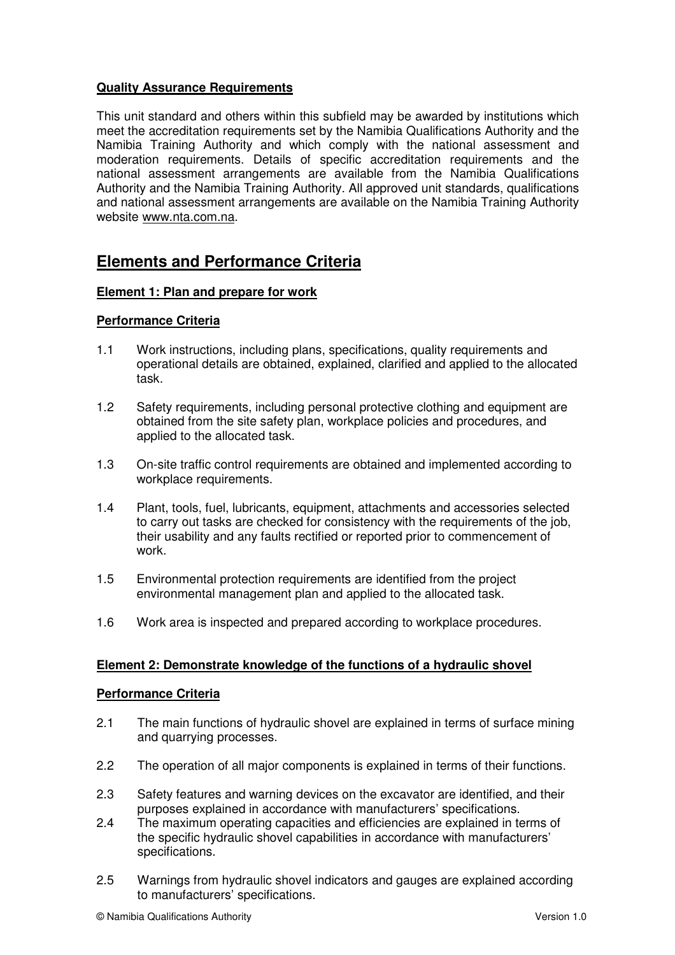# **Quality Assurance Requirements**

This unit standard and others within this subfield may be awarded by institutions which meet the accreditation requirements set by the Namibia Qualifications Authority and the Namibia Training Authority and which comply with the national assessment and moderation requirements. Details of specific accreditation requirements and the national assessment arrangements are available from the Namibia Qualifications Authority and the Namibia Training Authority. All approved unit standards, qualifications and national assessment arrangements are available on the Namibia Training Authority website www.nta.com.na.

# **Elements and Performance Criteria**

## **Element 1: Plan and prepare for work**

## **Performance Criteria**

- 1.1 Work instructions, including plans, specifications, quality requirements and operational details are obtained, explained, clarified and applied to the allocated task.
- 1.2 Safety requirements, including personal protective clothing and equipment are obtained from the site safety plan, workplace policies and procedures, and applied to the allocated task.
- 1.3 On-site traffic control requirements are obtained and implemented according to workplace requirements.
- 1.4 Plant, tools, fuel, lubricants, equipment, attachments and accessories selected to carry out tasks are checked for consistency with the requirements of the job, their usability and any faults rectified or reported prior to commencement of work.
- 1.5 Environmental protection requirements are identified from the project environmental management plan and applied to the allocated task.
- 1.6 Work area is inspected and prepared according to workplace procedures.

## **Element 2: Demonstrate knowledge of the functions of a hydraulic shovel**

#### **Performance Criteria**

- 2.1 The main functions of hydraulic shovel are explained in terms of surface mining and quarrying processes.
- 2.2 The operation of all major components is explained in terms of their functions.
- 2.3 Safety features and warning devices on the excavator are identified, and their purposes explained in accordance with manufacturers' specifications.
- 2.4 The maximum operating capacities and efficiencies are explained in terms of the specific hydraulic shovel capabilities in accordance with manufacturers' specifications.
- 2.5 Warnings from hydraulic shovel indicators and gauges are explained according to manufacturers' specifications.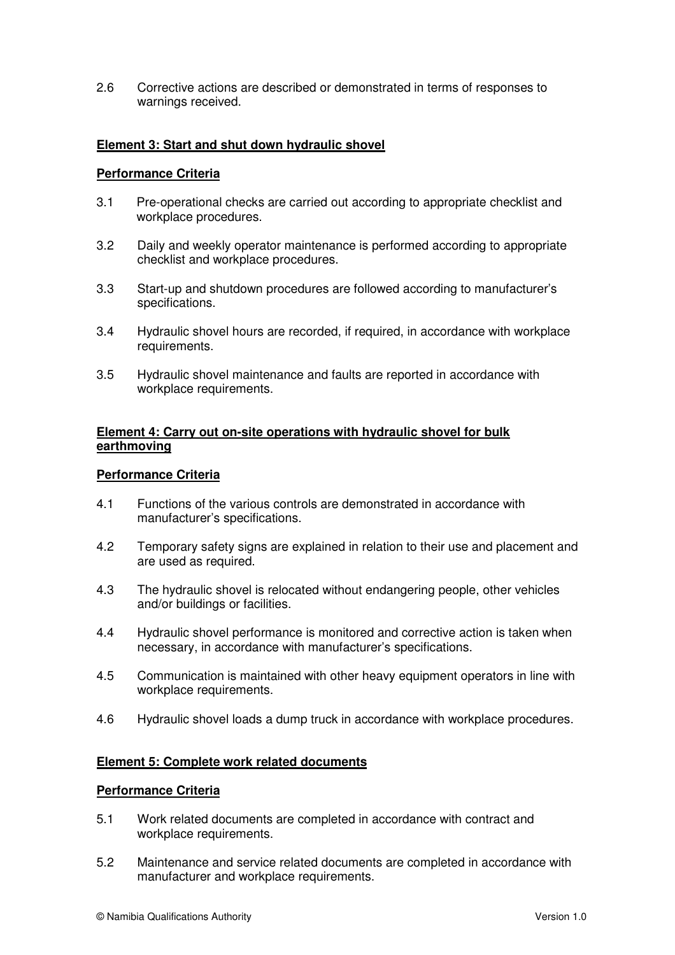2.6 Corrective actions are described or demonstrated in terms of responses to warnings received.

## **Element 3: Start and shut down hydraulic shovel**

### **Performance Criteria**

- 3.1 Pre-operational checks are carried out according to appropriate checklist and workplace procedures.
- 3.2 Daily and weekly operator maintenance is performed according to appropriate checklist and workplace procedures.
- 3.3 Start-up and shutdown procedures are followed according to manufacturer's specifications.
- 3.4 Hydraulic shovel hours are recorded, if required, in accordance with workplace requirements.
- 3.5 Hydraulic shovel maintenance and faults are reported in accordance with workplace requirements.

### **Element 4: Carry out on-site operations with hydraulic shovel for bulk earthmoving**

#### **Performance Criteria**

- 4.1 Functions of the various controls are demonstrated in accordance with manufacturer's specifications.
- 4.2 Temporary safety signs are explained in relation to their use and placement and are used as required.
- 4.3 The hydraulic shovel is relocated without endangering people, other vehicles and/or buildings or facilities.
- 4.4 Hydraulic shovel performance is monitored and corrective action is taken when necessary, in accordance with manufacturer's specifications.
- 4.5 Communication is maintained with other heavy equipment operators in line with workplace requirements.
- 4.6 Hydraulic shovel loads a dump truck in accordance with workplace procedures.

#### **Element 5: Complete work related documents**

#### **Performance Criteria**

- 5.1 Work related documents are completed in accordance with contract and workplace requirements.
- 5.2 Maintenance and service related documents are completed in accordance with manufacturer and workplace requirements.